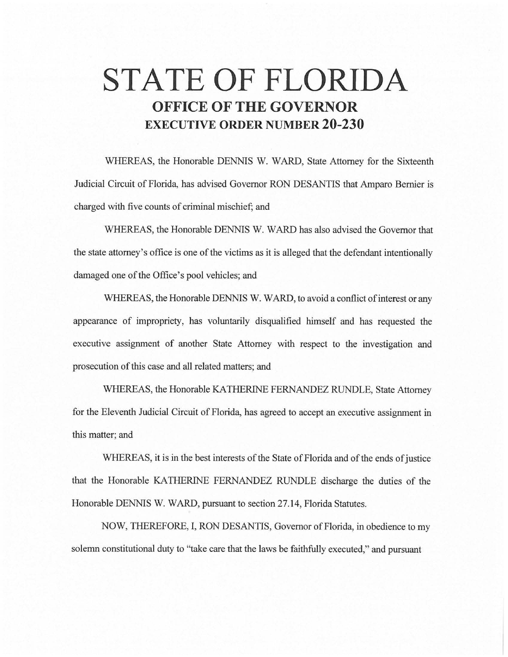# **STATE OF FLORIDA OFFICE OF THE GOVERNOR EXECUTIVE ORDER NUMBER 20-230**

WHEREAS, the Honorable DENNIS W. WARD, State Attorney for the Sixteenth Judicial Circuit of Florida, has advised Governor RON DESANTIS that Amparo Bernier is charged with five counts of criminal mischief; and

WHEREAS, the Honorable DENNIS W. WARD has also advised the Governor that the state attorney's office is one of the victims as it is alleged that the defendant intentionally damaged one of the Office's pool vehicles; and

WHEREAS, the Honorable DENNIS W. WARD, to avoid a conflict of interest or any appearance of impropriety, has voluntarily disqualified himself and has requested the executive assignment of another State Attorney with respect to the investigation and prosecution of this case and all related matters; and

WHEREAS, the Honorable KA THERINE FERNANDEZ RUNDLE, State Attorney for the Eleventh Judicial Circuit of Florida, has agreed to accept an executive assignment in this matter; and

WHEREAS, it is in the best interests of the State of Florida and of the ends of justice that the Honorable KA THERINE FERNANDEZ RUNDLE discharge the duties of the Honorable DENNIS W. WARD, pursuant to section 27.14, Florida Statutes.

NOW, THEREFORE, I, RON DESANTIS, Governor of Florida, in obedience to my solemn constitutional duty to "take care that the laws be faithfully executed," and pursuant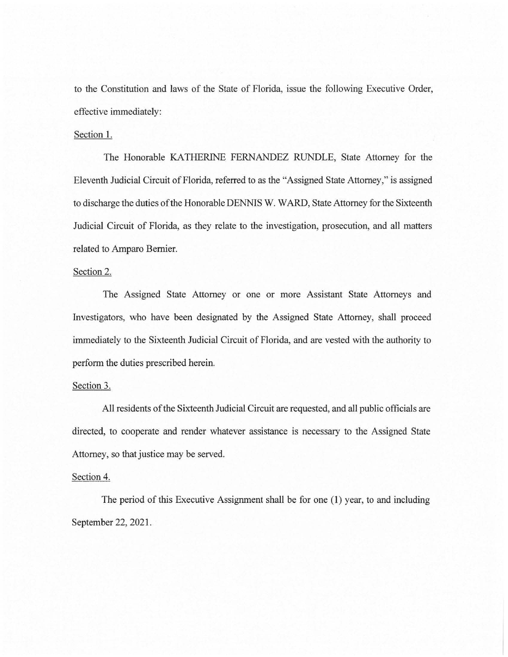to the Constitution and laws of the State of Florida, issue the following Executive Order, effective immediately:

#### Section 1.

The Honorable KATHERINE FERNANDEZ RUNDLE, State Attorney for the Eleventh Judicial Circuit of Florida, referred to as the "Assigned State Attorney," is assigned to discharge the duties of the Honorable DENNIS W. WARD, State Attorney for the Sixteenth Judicial Circuit of Florida, as they relate to the investigation, prosecution, and all matters related to Amparo Bernier.

### Section 2.

The Assigned State Attorney or one or more Assistant State Attorneys and Investigators, who have been designated by the Assigned State Attorney, shall proceed immediately to the Sixteenth Judicial Circuit of Florida, and are vested with the authority to perform the duties prescribed herein.

#### Section 3.

All residents of the Sixteenth Judicial Circuit are requested, and all public officials are directed, to cooperate and render whatever assistance is necessary to the Assigned State Attorney, so that justice may be served.

## Section 4.

The period of this Executive Assignment shall be for one (1) year, to and including September 22, 2021.